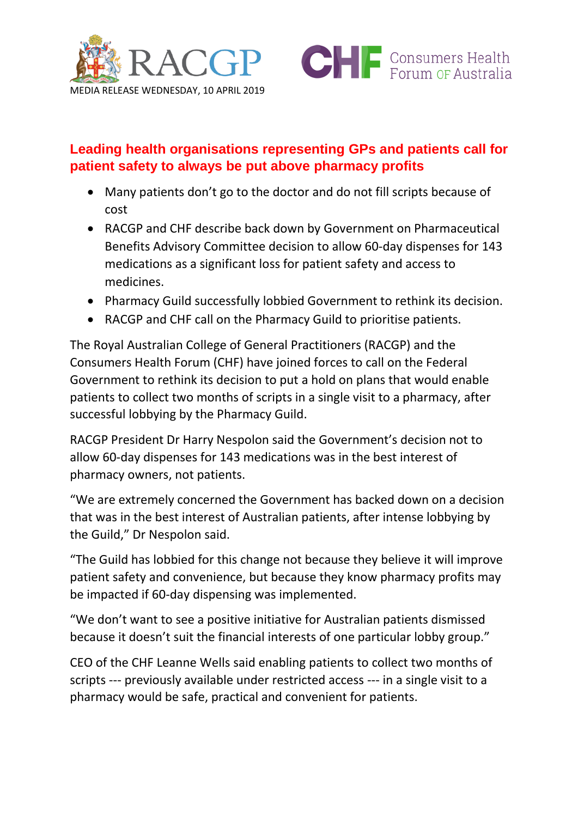



# **Leading health organisations representing GPs and patients call for patient safety to always be put above pharmacy profits**

- Many patients don't go to the doctor and do not fill scripts because of cost
- RACGP and CHF describe back down by Government on Pharmaceutical Benefits Advisory Committee decision to allow 60-day dispenses for 143 medications as a significant loss for patient safety and access to medicines.
- Pharmacy Guild successfully lobbied Government to rethink its decision.
- RACGP and CHF call on the Pharmacy Guild to prioritise patients.

The Royal Australian College of General Practitioners (RACGP) and the Consumers Health Forum (CHF) have joined forces to call on the Federal Government to rethink its decision to put a hold on plans that would enable patients to collect two months of scripts in a single visit to a pharmacy, after successful lobbying by the Pharmacy Guild.

RACGP President Dr Harry Nespolon said the Government's decision not to allow 60-day dispenses for 143 medications was in the best interest of pharmacy owners, not patients.

"We are extremely concerned the Government has backed down on a decision that was in the best interest of Australian patients, after intense lobbying by the Guild," Dr Nespolon said.

"The Guild has lobbied for this change not because they believe it will improve patient safety and convenience, but because they know pharmacy profits may be impacted if 60-day dispensing was implemented.

"We don't want to see a positive initiative for Australian patients dismissed because it doesn't suit the financial interests of one particular lobby group."

CEO of the CHF Leanne Wells said enabling patients to collect two months of scripts --- previously available under restricted access --- in a single visit to a pharmacy would be safe, practical and convenient for patients.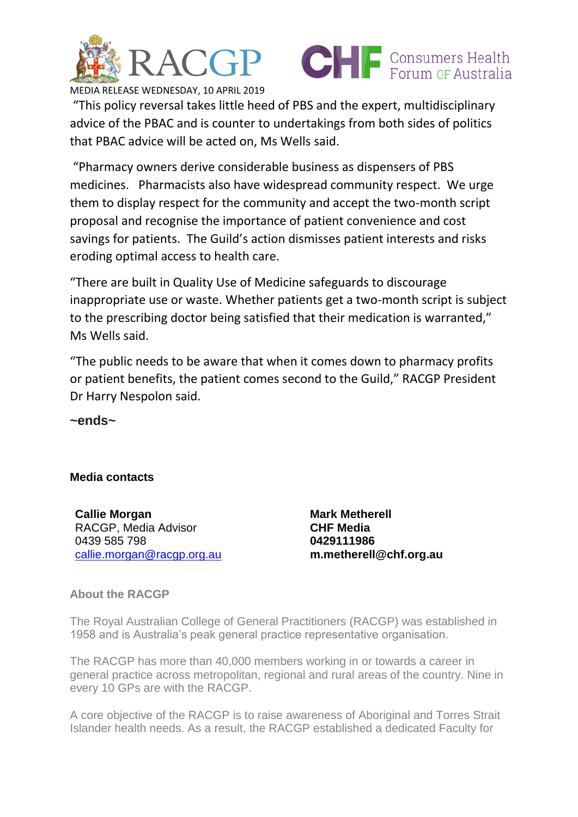



MEDIA RELEASE WEDNESDAY, 10 APRIL 2019

"This policy reversal takes little heed of PBS and the expert, multidisciplinary advice of the PBAC and is counter to undertakings from both sides of politics that PBAC advice will be acted on, Ms Wells said.

"Pharmacy owners derive considerable business as dispensers of PBS medicines. Pharmacists also have widespread community respect. We urge them to display respect for the community and accept the two-month script proposal and recognise the importance of patient convenience and cost savings for patients. The Guild's action dismisses patient interests and risks eroding optimal access to health care.

"There are built in Quality Use of Medicine safeguards to discourage inappropriate use or waste. Whether patients get a two-month script is subject to the prescribing doctor being satisfied that their medication is warranted," Ms Wells said.

"The public needs to be aware that when it comes down to pharmacy profits or patient benefits, the patient comes second to the Guild," RACGP President Dr Harry Nespolon said.

**~ends~**

## **Media contacts**

**Callie Morgan** RACGP, Media Advisor 0439 585 798 [callie.morgan@racgp.org.au](mailto:callie.morgan@racgp.org.au) **Mark Metherell CHF Media 0429111986 m.metherell@chf.org.au**

## **About the RACGP**

The Royal Australian College of General Practitioners (RACGP) was established in 1958 and is Australia's peak general practice representative organisation.

The RACGP has more than 40,000 members working in or towards a career in general practice across metropolitan, regional and rural areas of the country. Nine in every 10 GPs are with the RACGP.

A core objective of the RACGP is to raise awareness of Aboriginal and Torres Strait Islander health needs. As a result, the RACGP established a dedicated Faculty for